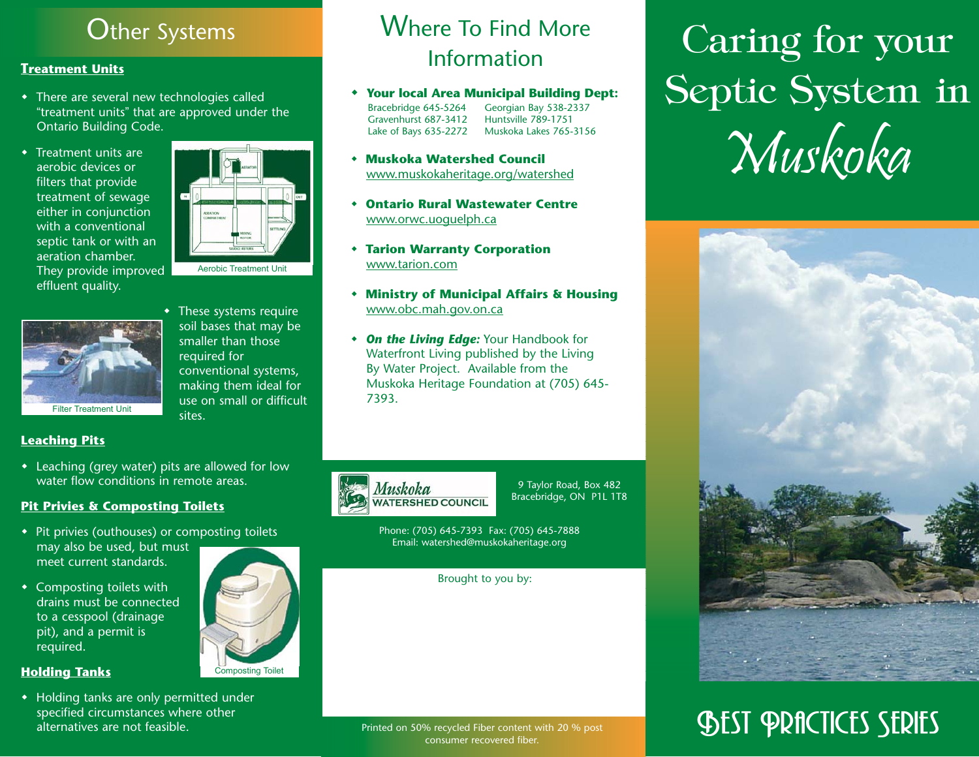# **Other Systems**

### **Treatment Units**

- There are several new technologies called "treatment units" that are approved under the Ontario Building Code.
- $\bullet$  Treatment units are aerobic devices or filters that provide treatment of sewage either in conjunction with a conventional septic tank or with an aeration chamber. They provide improved effluent quality.





 These systems require soil bases that may be smaller than those required for conventional systems, making them ideal for use on small or difficult sites.

# Where To Find More Information

- **Your local Area Municipal Building Dept:** Bracebridge 645-5264 Georgian Bay 538-2337<br>Gravenhurst 687-3412 Huntsville 789-1751 Gravenhurst 687-3412 Lake of Bays 635-2272 Muskoka Lakes 765-3156
- **Muskoka Watershed Council** www.muskokaheritage.org/watershed
- ٠ **Ontario Rural Wastewater Centre** www.orwc.uoguelph.ca
- **Tarion Warranty Corporation** www.tarion.com
- **Ministry of Municipal Affairs & Housing** www.obc.mah.gov.on.ca
- *On the Living Edge:* Your Handbook for Waterfront Living published by the Living By Water Project. Available from the Muskoka Heritage Foundation at (705) 645- 7393.



9 Taylor Road, Box 482 Bracebridge, ON P1L 1T8

Phone: (705) 645-7393 Fax: (705) 645-7888 Email: watershed@muskokaheritage.org

Brought to you by:

Caring for your Septic System in Muskoka



# **SHEST PRACTICES SERIES**



#### **Leaching Pits**

 Leaching (grey water) pits are allowed for low water flow conditions in remote areas.

#### **Pit Privies & Composting Toilets**

- Pit privies (outhouses) or composting toilets may also be used, but must meet current standards.
- Composting toilets with drains must be connected to a cesspool (drainage pit), and a permit is required.



#### **Holding Tanks**

 Holding tanks are only permitted under specified circumstances where other alternatives are not feasible.